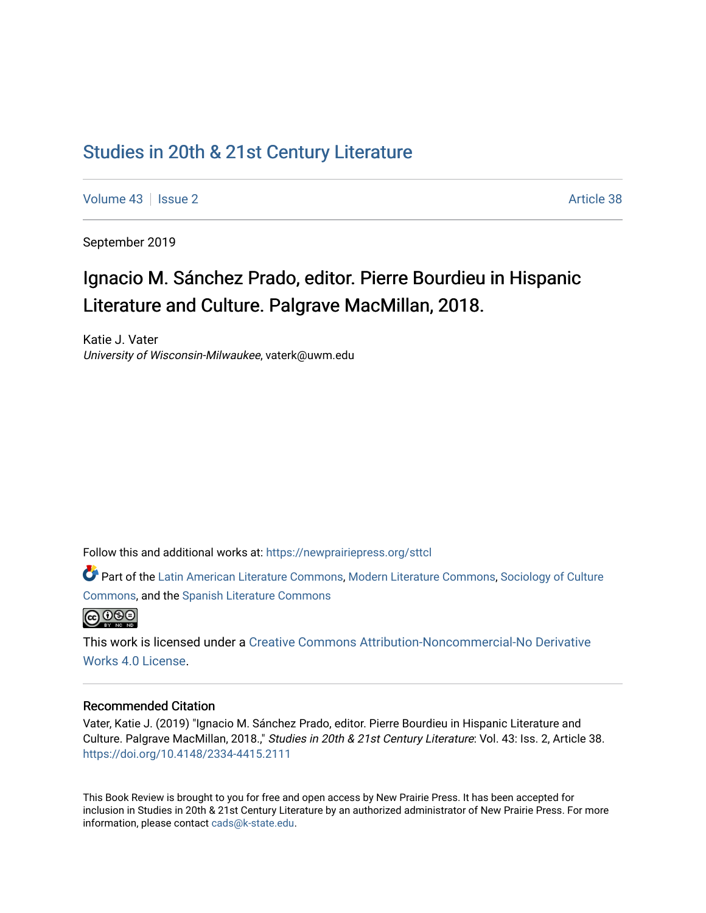## [Studies in 20th & 21st Century Literature](https://newprairiepress.org/sttcl)

[Volume 43](https://newprairiepress.org/sttcl/vol43) | [Issue 2](https://newprairiepress.org/sttcl/vol43/iss2) Article 38

September 2019

# Ignacio M. Sánchez Prado, editor. Pierre Bourdieu in Hispanic Literature and Culture. Palgrave MacMillan, 2018.

Katie J. Vater University of Wisconsin-Milwaukee, vaterk@uwm.edu

Follow this and additional works at: [https://newprairiepress.org/sttcl](https://newprairiepress.org/sttcl?utm_source=newprairiepress.org%2Fsttcl%2Fvol43%2Fiss2%2F38&utm_medium=PDF&utm_campaign=PDFCoverPages) 

Part of the [Latin American Literature Commons,](http://network.bepress.com/hgg/discipline/547?utm_source=newprairiepress.org%2Fsttcl%2Fvol43%2Fiss2%2F38&utm_medium=PDF&utm_campaign=PDFCoverPages) [Modern Literature Commons,](http://network.bepress.com/hgg/discipline/1050?utm_source=newprairiepress.org%2Fsttcl%2Fvol43%2Fiss2%2F38&utm_medium=PDF&utm_campaign=PDFCoverPages) [Sociology of Culture](http://network.bepress.com/hgg/discipline/431?utm_source=newprairiepress.org%2Fsttcl%2Fvol43%2Fiss2%2F38&utm_medium=PDF&utm_campaign=PDFCoverPages)  [Commons](http://network.bepress.com/hgg/discipline/431?utm_source=newprairiepress.org%2Fsttcl%2Fvol43%2Fiss2%2F38&utm_medium=PDF&utm_campaign=PDFCoverPages), and the [Spanish Literature Commons](http://network.bepress.com/hgg/discipline/550?utm_source=newprairiepress.org%2Fsttcl%2Fvol43%2Fiss2%2F38&utm_medium=PDF&utm_campaign=PDFCoverPages)



This work is licensed under a [Creative Commons Attribution-Noncommercial-No Derivative](https://creativecommons.org/licenses/by-nc-nd/4.0/)  [Works 4.0 License](https://creativecommons.org/licenses/by-nc-nd/4.0/).

#### Recommended Citation

Vater, Katie J. (2019) "Ignacio M. Sánchez Prado, editor. Pierre Bourdieu in Hispanic Literature and Culture. Palgrave MacMillan, 2018.," Studies in 20th & 21st Century Literature: Vol. 43: Iss. 2, Article 38. <https://doi.org/10.4148/2334-4415.2111>

This Book Review is brought to you for free and open access by New Prairie Press. It has been accepted for inclusion in Studies in 20th & 21st Century Literature by an authorized administrator of New Prairie Press. For more information, please contact [cads@k-state.edu](mailto:cads@k-state.edu).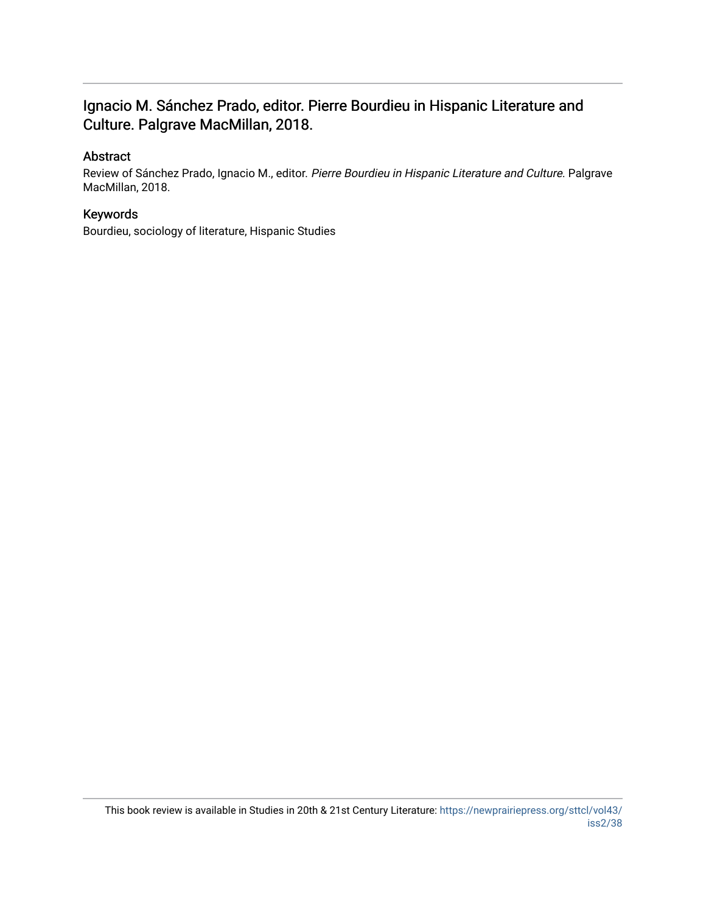### Ignacio M. Sánchez Prado, editor. Pierre Bourdieu in Hispanic Literature and Culture. Palgrave MacMillan, 2018.

### Abstract

Review of Sánchez Prado, Ignacio M., editor. Pierre Bourdieu in Hispanic Literature and Culture. Palgrave MacMillan, 2018.

### Keywords

Bourdieu, sociology of literature, Hispanic Studies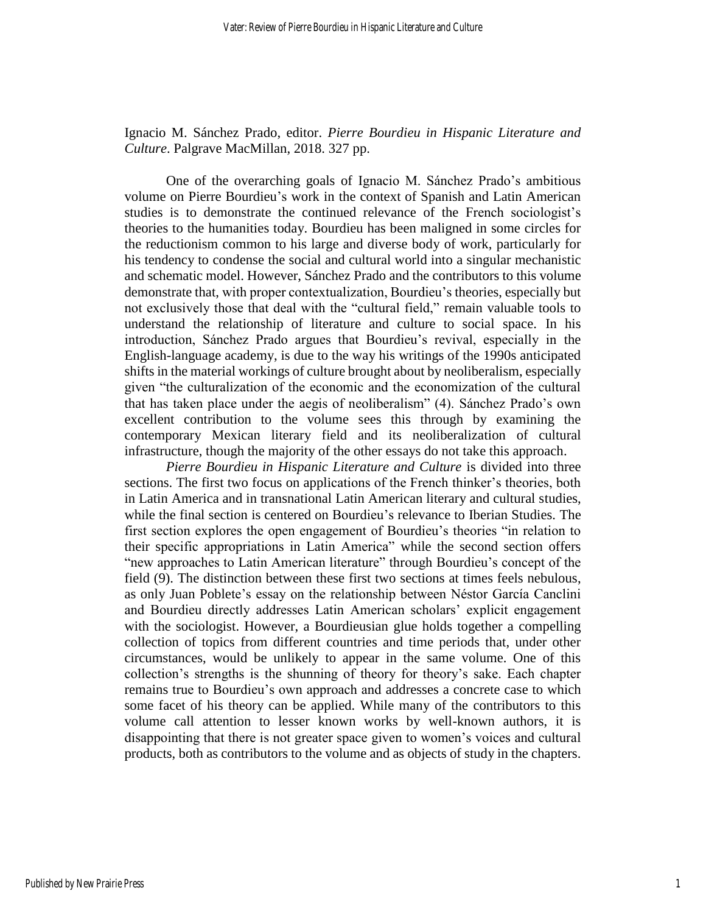Ignacio M. Sánchez Prado, editor. *Pierre Bourdieu in Hispanic Literature and Culture*. Palgrave MacMillan, 2018. 327 pp.

One of the overarching goals of Ignacio M. Sánchez Prado's ambitious volume on Pierre Bourdieu's work in the context of Spanish and Latin American studies is to demonstrate the continued relevance of the French sociologist's theories to the humanities today. Bourdieu has been maligned in some circles for the reductionism common to his large and diverse body of work, particularly for his tendency to condense the social and cultural world into a singular mechanistic and schematic model. However, Sánchez Prado and the contributors to this volume demonstrate that, with proper contextualization, Bourdieu's theories, especially but not exclusively those that deal with the "cultural field," remain valuable tools to understand the relationship of literature and culture to social space. In his introduction, Sánchez Prado argues that Bourdieu's revival, especially in the English-language academy, is due to the way his writings of the 1990s anticipated shifts in the material workings of culture brought about by neoliberalism, especially given "the culturalization of the economic and the economization of the cultural that has taken place under the aegis of neoliberalism" (4). Sánchez Prado's own excellent contribution to the volume sees this through by examining the contemporary Mexican literary field and its neoliberalization of cultural infrastructure, though the majority of the other essays do not take this approach.

*Pierre Bourdieu in Hispanic Literature and Culture* is divided into three sections. The first two focus on applications of the French thinker's theories, both in Latin America and in transnational Latin American literary and cultural studies, while the final section is centered on Bourdieu's relevance to Iberian Studies. The first section explores the open engagement of Bourdieu's theories "in relation to their specific appropriations in Latin America" while the second section offers "new approaches to Latin American literature" through Bourdieu's concept of the field (9). The distinction between these first two sections at times feels nebulous, as only Juan Poblete's essay on the relationship between Néstor García Canclini and Bourdieu directly addresses Latin American scholars' explicit engagement with the sociologist. However, a Bourdieusian glue holds together a compelling collection of topics from different countries and time periods that, under other circumstances, would be unlikely to appear in the same volume. One of this collection's strengths is the shunning of theory for theory's sake. Each chapter remains true to Bourdieu's own approach and addresses a concrete case to which some facet of his theory can be applied. While many of the contributors to this volume call attention to lesser known works by well-known authors, it is disappointing that there is not greater space given to women's voices and cultural products, both as contributors to the volume and as objects of study in the chapters.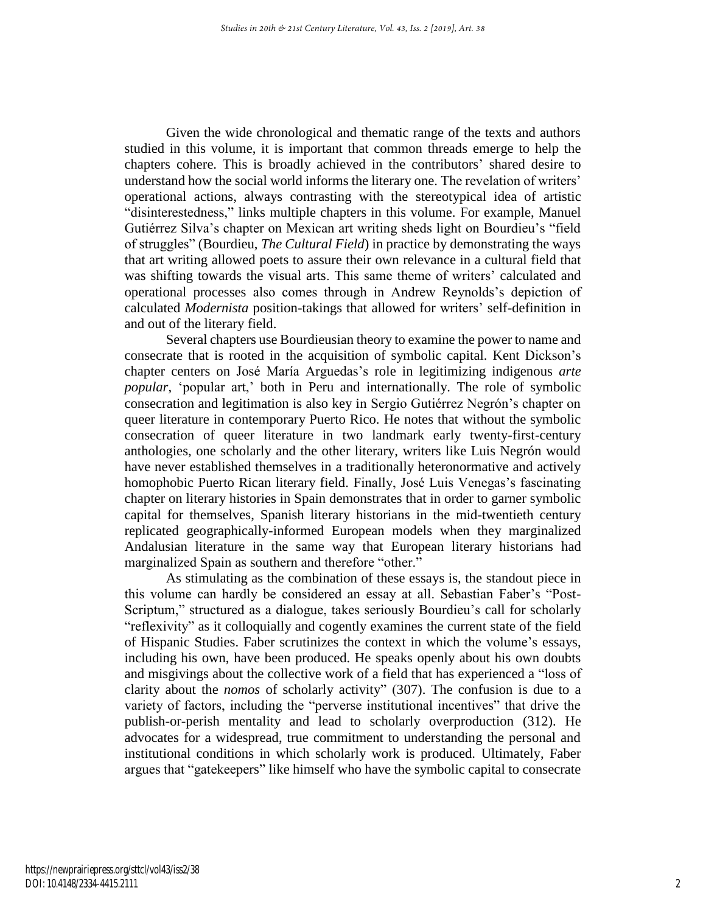Given the wide chronological and thematic range of the texts and authors studied in this volume, it is important that common threads emerge to help the chapters cohere. This is broadly achieved in the contributors' shared desire to understand how the social world informs the literary one. The revelation of writers' operational actions, always contrasting with the stereotypical idea of artistic "disinterestedness," links multiple chapters in this volume. For example, Manuel Gutiérrez Silva's chapter on Mexican art writing sheds light on Bourdieu's "field of struggles" (Bourdieu, *The Cultural Field*) in practice by demonstrating the ways that art writing allowed poets to assure their own relevance in a cultural field that was shifting towards the visual arts. This same theme of writers' calculated and operational processes also comes through in Andrew Reynolds's depiction of calculated *Modernista* position-takings that allowed for writers' self-definition in and out of the literary field.

Several chapters use Bourdieusian theory to examine the power to name and consecrate that is rooted in the acquisition of symbolic capital. Kent Dickson's chapter centers on José María Arguedas's role in legitimizing indigenous *arte popular*, 'popular art,' both in Peru and internationally. The role of symbolic consecration and legitimation is also key in Sergio Gutiérrez Negrón's chapter on queer literature in contemporary Puerto Rico. He notes that without the symbolic consecration of queer literature in two landmark early twenty-first-century anthologies, one scholarly and the other literary, writers like Luis Negrón would have never established themselves in a traditionally heteronormative and actively homophobic Puerto Rican literary field. Finally, José Luis Venegas's fascinating chapter on literary histories in Spain demonstrates that in order to garner symbolic capital for themselves, Spanish literary historians in the mid-twentieth century replicated geographically-informed European models when they marginalized Andalusian literature in the same way that European literary historians had marginalized Spain as southern and therefore "other."

As stimulating as the combination of these essays is, the standout piece in this volume can hardly be considered an essay at all. Sebastian Faber's "Post-Scriptum," structured as a dialogue, takes seriously Bourdieu's call for scholarly "reflexivity" as it colloquially and cogently examines the current state of the field of Hispanic Studies. Faber scrutinizes the context in which the volume's essays, including his own, have been produced. He speaks openly about his own doubts and misgivings about the collective work of a field that has experienced a "loss of clarity about the *nomos* of scholarly activity" (307). The confusion is due to a variety of factors, including the "perverse institutional incentives" that drive the publish-or-perish mentality and lead to scholarly overproduction (312). He advocates for a widespread, true commitment to understanding the personal and institutional conditions in which scholarly work is produced. Ultimately, Faber argues that "gatekeepers" like himself who have the symbolic capital to consecrate